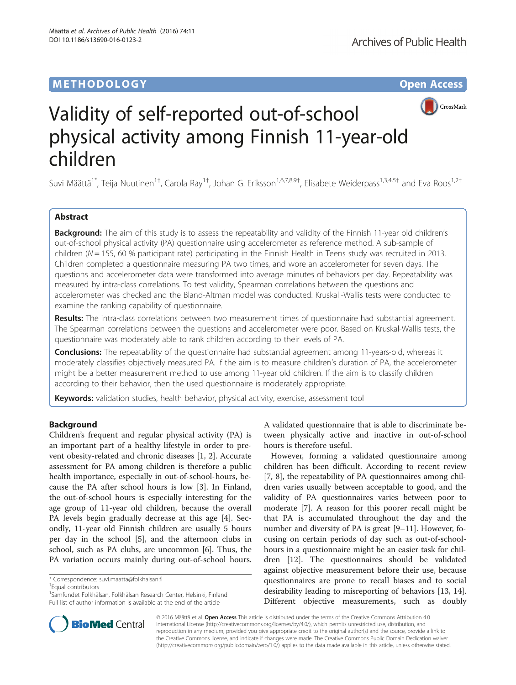# **METHODOLOGY CONSUMING ACCESS**



# Validity of self-reported out-of-school physical activity among Finnish 11-year-old children

Suvi Määttä<sup>1\*</sup>, Teija Nuutinen<sup>1†</sup>, Carola Ray<sup>1†</sup>, Johan G. Eriksson<sup>1,6,7,8,9†</sup>, Elisabete Weiderpass<sup>1,3,4,5†</sup> and Eva Roos<sup>1,2†</sup>

# Abstract

**Background:** The aim of this study is to assess the repeatability and validity of the Finnish 11-year old children's out-of-school physical activity (PA) questionnaire using accelerometer as reference method. A sub-sample of children ( $N = 155$ , 60 % participant rate) participating in the Finnish Health in Teens study was recruited in 2013. Children completed a questionnaire measuring PA two times, and wore an accelerometer for seven days. The questions and accelerometer data were transformed into average minutes of behaviors per day. Repeatability was measured by intra-class correlations. To test validity, Spearman correlations between the questions and accelerometer was checked and the Bland-Altman model was conducted. Kruskall-Wallis tests were conducted to examine the ranking capability of questionnaire.

Results: The intra-class correlations between two measurement times of questionnaire had substantial agreement. The Spearman correlations between the questions and accelerometer were poor. Based on Kruskal-Wallis tests, the questionnaire was moderately able to rank children according to their levels of PA.

**Conclusions:** The repeatability of the questionnaire had substantial agreement among 11-years-old, whereas it moderately classifies objectively measured PA. If the aim is to measure children's duration of PA, the accelerometer might be a better measurement method to use among 11-year old children. If the aim is to classify children according to their behavior, then the used questionnaire is moderately appropriate.

Keywords: validation studies, health behavior, physical activity, exercise, assessment tool

# Background

Children's frequent and regular physical activity (PA) is an important part of a healthy lifestyle in order to prevent obesity-related and chronic diseases [[1, 2\]](#page-4-0). Accurate assessment for PA among children is therefore a public health importance, especially in out-of-school-hours, because the PA after school hours is low [\[3](#page-4-0)]. In Finland, the out-of-school hours is especially interesting for the age group of 11-year old children, because the overall PA levels begin gradually decrease at this age [[4\]](#page-4-0). Secondly, 11-year old Finnish children are usually 5 hours per day in the school [[5\]](#page-4-0), and the afternoon clubs in school, such as PA clubs, are uncommon [[6\]](#page-4-0). Thus, the PA variation occurs mainly during out-of-school hours.

Equal contributors

1 Samfundet Folkhälsan, Folkhälsan Research Center, Helsinki, Finland Full list of author information is available at the end of the article



However, forming a validated questionnaire among children has been difficult. According to recent review [[7, 8\]](#page-4-0), the repeatability of PA questionnaires among children varies usually between acceptable to good, and the validity of PA questionnaires varies between poor to moderate [[7\]](#page-4-0). A reason for this poorer recall might be that PA is accumulated throughout the day and the number and diversity of PA is great [\[9](#page-4-0)–[11\]](#page-4-0). However, focusing on certain periods of day such as out-of-schoolhours in a questionnaire might be an easier task for children [[12](#page-4-0)]. The questionnaires should be validated against objective measurement before their use, because questionnaires are prone to recall biases and to social desirability leading to misreporting of behaviors [\[13](#page-4-0), [14](#page-4-0)]. Different objective measurements, such as doubly



© 2016 Määttä et al. Open Access This article is distributed under the terms of the Creative Commons Attribution 4.0 International License [\(http://creativecommons.org/licenses/by/4.0/](http://creativecommons.org/licenses/by/4.0/)), which permits unrestricted use, distribution, and reproduction in any medium, provided you give appropriate credit to the original author(s) and the source, provide a link to the Creative Commons license, and indicate if changes were made. The Creative Commons Public Domain Dedication waiver [\(http://creativecommons.org/publicdomain/zero/1.0/](http://creativecommons.org/publicdomain/zero/1.0/)) applies to the data made available in this article, unless otherwise stated.

<sup>\*</sup> Correspondence: [suvi.maatta@folkhalsan.fi](mailto:suvi.maatta@folkhalsan.fi) †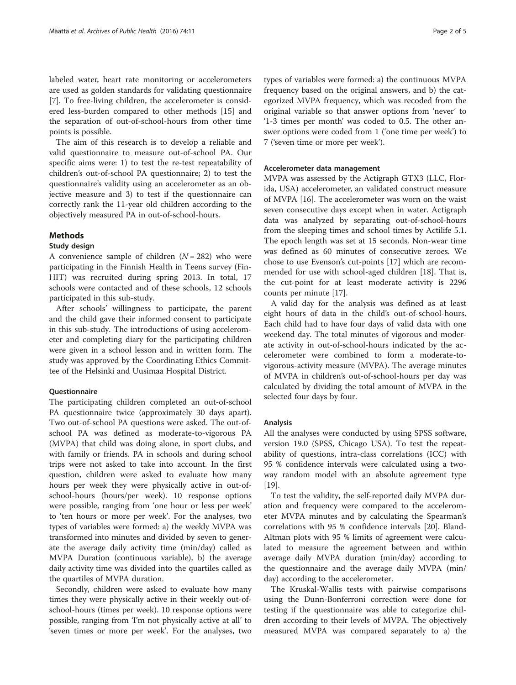labeled water, heart rate monitoring or accelerometers are used as golden standards for validating questionnaire [[7\]](#page-4-0). To free-living children, the accelerometer is considered less-burden compared to other methods [[15\]](#page-4-0) and the separation of out-of-school-hours from other time points is possible.

The aim of this research is to develop a reliable and valid questionnaire to measure out-of-school PA. Our specific aims were: 1) to test the re-test repeatability of children's out-of-school PA questionnaire; 2) to test the questionnaire's validity using an accelerometer as an objective measure and 3) to test if the questionnaire can correctly rank the 11-year old children according to the objectively measured PA in out-of-school-hours.

## Methods

## Study design

A convenience sample of children  $(N = 282)$  who were participating in the Finnish Health in Teens survey (Fin-HIT) was recruited during spring 2013. In total, 17 schools were contacted and of these schools, 12 schools participated in this sub-study.

After schools' willingness to participate, the parent and the child gave their informed consent to participate in this sub-study. The introductions of using accelerometer and completing diary for the participating children were given in a school lesson and in written form. The study was approved by the Coordinating Ethics Committee of the Helsinki and Uusimaa Hospital District.

## **Questionnaire**

The participating children completed an out-of-school PA questionnaire twice (approximately 30 days apart). Two out-of-school PA questions were asked. The out-ofschool PA was defined as moderate-to-vigorous PA (MVPA) that child was doing alone, in sport clubs, and with family or friends. PA in schools and during school trips were not asked to take into account. In the first question, children were asked to evaluate how many hours per week they were physically active in out-ofschool-hours (hours/per week). 10 response options were possible, ranging from 'one hour or less per week' to 'ten hours or more per week'. For the analyses, two types of variables were formed: a) the weekly MVPA was transformed into minutes and divided by seven to generate the average daily activity time (min/day) called as MVPA Duration (continuous variable), b) the average daily activity time was divided into the quartiles called as the quartiles of MVPA duration.

Secondly, children were asked to evaluate how many times they were physically active in their weekly out-ofschool-hours (times per week). 10 response options were possible, ranging from 'I'm not physically active at all' to 'seven times or more per week'. For the analyses, two

types of variables were formed: a) the continuous MVPA frequency based on the original answers, and b) the categorized MVPA frequency, which was recoded from the original variable so that answer options from 'never' to '1-3 times per month' was coded to 0.5. The other answer options were coded from 1 ('one time per week') to 7 ('seven time or more per week').

#### Accelerometer data management

MVPA was assessed by the Actigraph GTX3 (LLC, Florida, USA) accelerometer, an validated construct measure of MVPA [\[16](#page-4-0)]. The accelerometer was worn on the waist seven consecutive days except when in water. Actigraph data was analyzed by separating out-of-school-hours from the sleeping times and school times by Actilife 5.1. The epoch length was set at 15 seconds. Non-wear time was defined as 60 minutes of consecutive zeroes. We chose to use Evenson's cut-points [[17](#page-4-0)] which are recommended for use with school-aged children [[18\]](#page-4-0). That is, the cut-point for at least moderate activity is 2296 counts per minute [\[17](#page-4-0)].

A valid day for the analysis was defined as at least eight hours of data in the child's out-of-school-hours. Each child had to have four days of valid data with one weekend day. The total minutes of vigorous and moderate activity in out-of-school-hours indicated by the accelerometer were combined to form a moderate-tovigorous-activity measure (MVPA). The average minutes of MVPA in children's out-of-school-hours per day was calculated by dividing the total amount of MVPA in the selected four days by four.

#### Analysis

All the analyses were conducted by using SPSS software, version 19.0 (SPSS, Chicago USA). To test the repeatability of questions, intra-class correlations (ICC) with 95 % confidence intervals were calculated using a twoway random model with an absolute agreement type [[19\]](#page-4-0).

To test the validity, the self-reported daily MVPA duration and frequency were compared to the accelerometer MVPA minutes and by calculating the Spearman's correlations with 95 % confidence intervals [[20](#page-4-0)]. Bland-Altman plots with 95 % limits of agreement were calculated to measure the agreement between and within average daily MVPA duration (min/day) according to the questionnaire and the average daily MVPA (min/ day) according to the accelerometer.

The Kruskal-Wallis tests with pairwise comparisons using the Dunn-Bonferroni correction were done for testing if the questionnaire was able to categorize children according to their levels of MVPA. The objectively measured MVPA was compared separately to a) the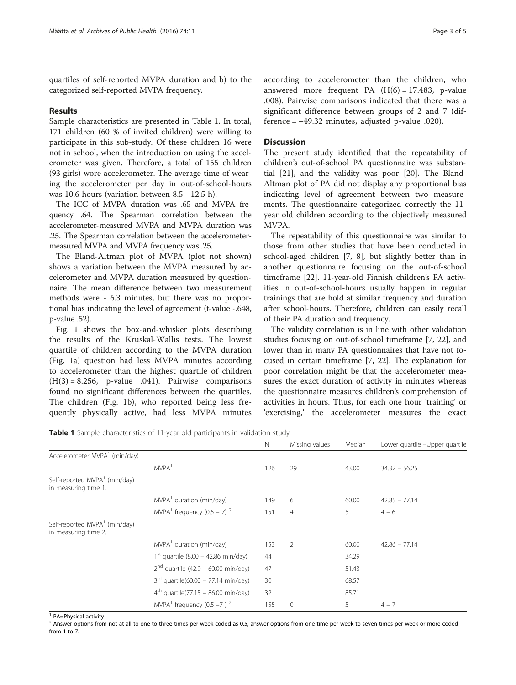quartiles of self-reported MVPA duration and b) to the categorized self-reported MVPA frequency.

### Results

Sample characteristics are presented in Table 1. In total, 171 children (60 % of invited children) were willing to participate in this sub-study. Of these children 16 were not in school, when the introduction on using the accelerometer was given. Therefore, a total of 155 children (93 girls) wore accelerometer. The average time of wearing the accelerometer per day in out-of-school-hours was 10.6 hours (variation between 8.5 –12.5 h).

The ICC of MVPA duration was .65 and MVPA frequency .64. The Spearman correlation between the accelerometer-measured MVPA and MVPA duration was .25. The Spearman correlation between the accelerometermeasured MVPA and MVPA frequency was .25.

The Bland-Altman plot of MVPA (plot not shown) shows a variation between the MVPA measured by accelerometer and MVPA duration measured by questionnaire. The mean difference between two measurement methods were - 6.3 minutes, but there was no proportional bias indicating the level of agreement (t-value -.648, p-value .52).

Fig. [1](#page-3-0) shows the box-and-whisker plots describing the results of the Kruskal-Wallis tests. The lowest quartile of children according to the MVPA duration (Fig. [1a](#page-3-0)) question had less MVPA minutes according to accelerometer than the highest quartile of children  $(H(3) = 8.256, p-value .041)$ . Pairwise comparisons found no significant differences between the quartiles. The children (Fig. [1b](#page-3-0)), who reported being less frequently physically active, had less MVPA minutes

according to accelerometer than the children, who answered more frequent PA  $(H(6) = 17.483, p-value$ .008). Pairwise comparisons indicated that there was a significant difference between groups of 2 and 7 (difference = −49.32 minutes, adjusted p-value .020).

### **Discussion**

The present study identified that the repeatability of children's out-of-school PA questionnaire was substantial [\[21\]](#page-4-0), and the validity was poor [\[20](#page-4-0)]. The Bland-Altman plot of PA did not display any proportional bias indicating level of agreement between two measurements. The questionnaire categorized correctly the 11 year old children according to the objectively measured MVPA.

The repeatability of this questionnaire was similar to those from other studies that have been conducted in school-aged children [[7, 8](#page-4-0)], but slightly better than in another questionnaire focusing on the out-of-school timeframe [[22\]](#page-4-0). 11-year-old Finnish children's PA activities in out-of-school-hours usually happen in regular trainings that are hold at similar frequency and duration after school-hours. Therefore, children can easily recall of their PA duration and frequency.

The validity correlation is in line with other validation studies focusing on out-of-school timeframe [[7](#page-4-0), [22\]](#page-4-0), and lower than in many PA questionnaires that have not focused in certain timeframe [[7, 22\]](#page-4-0). The explanation for poor correlation might be that the accelerometer measures the exact duration of activity in minutes whereas the questionnaire measures children's comprehension of activities in hours. Thus, for each one hour 'training' or 'exercising,' the accelerometer measures the exact

Table 1 Sample characteristics of 11-year old participants in validation study

|                                                                   |                                                    | N   | Missing values | Median | Lower quartile -Upper quartile |
|-------------------------------------------------------------------|----------------------------------------------------|-----|----------------|--------|--------------------------------|
| Accelerometer MVPA <sup>1</sup> (min/day)                         |                                                    |     |                |        |                                |
|                                                                   | MVPA <sup>1</sup>                                  | 126 | 29             | 43.00  | $34.32 - 56.25$                |
| Self-reported MVPA <sup>1</sup> (min/day)<br>in measuring time 1. |                                                    |     |                |        |                                |
|                                                                   | $MVPA1$ duration (min/day)                         | 149 | 6              | 60.00  | $42.85 - 77.14$                |
|                                                                   | MVPA <sup>1</sup> frequency (0.5 – 7) <sup>2</sup> | 151 | $\overline{4}$ | 5      | $4 - 6$                        |
| Self-reported MVPA <sup>1</sup> (min/day)<br>in measuring time 2. |                                                    |     |                |        |                                |
|                                                                   | $MVPA1$ duration (min/day)                         | 153 | 2              | 60.00  | $42.86 - 77.14$                |
|                                                                   | $1^{st}$ quartile (8.00 – 42.86 min/day)           | 44  |                | 34.29  |                                |
|                                                                   | $2^{nd}$ quartile (42.9 – 60.00 min/day)           | 47  |                | 51.43  |                                |
|                                                                   | $3^{rd}$ quartile(60.00 – 77.14 min/day)           | 30  |                | 68.57  |                                |
|                                                                   | $4^{th}$ quartile(77.15 - 86.00 min/day)           | 32  |                | 85.71  |                                |
|                                                                   | MVPA <sup>1</sup> frequency (0.5 -7) <sup>2</sup>  | 155 | $\Omega$       | 5      | $4 - 7$                        |

<sup>1</sup> PA=Physical activity

<sup>2</sup> Answer options from not at all to one to three times per week coded as 0.5, answer options from one time per week to seven times per week or more coded from 1 to 7.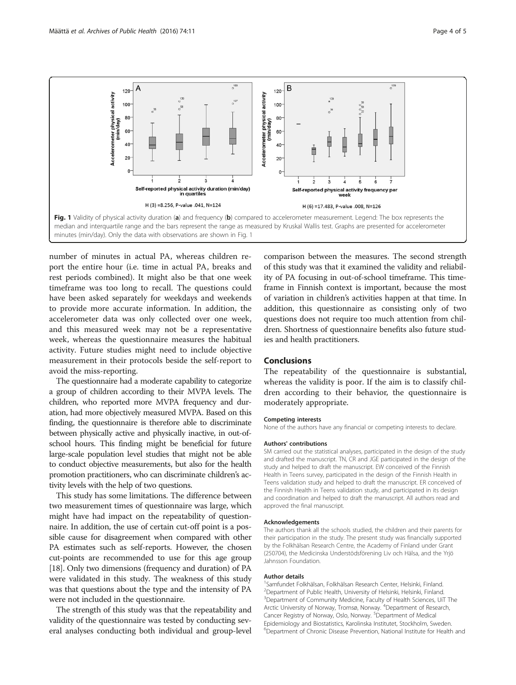<span id="page-3-0"></span>

number of minutes in actual PA, whereas children report the entire hour (i.e. time in actual PA, breaks and rest periods combined). It might also be that one week timeframe was too long to recall. The questions could have been asked separately for weekdays and weekends to provide more accurate information. In addition, the accelerometer data was only collected over one week, and this measured week may not be a representative week, whereas the questionnaire measures the habitual activity. Future studies might need to include objective measurement in their protocols beside the self-report to avoid the miss-reporting.

The questionnaire had a moderate capability to categorize a group of children according to their MVPA levels. The children, who reported more MVPA frequency and duration, had more objectively measured MVPA. Based on this finding, the questionnaire is therefore able to discriminate between physically active and physically inactive, in out-ofschool hours. This finding might be beneficial for future large-scale population level studies that might not be able to conduct objective measurements, but also for the health promotion practitioners, who can discriminate children's activity levels with the help of two questions.

This study has some limitations. The difference between two measurement times of questionnaire was large, which might have had impact on the repeatability of questionnaire. In addition, the use of certain cut-off point is a possible cause for disagreement when compared with other PA estimates such as self-reports. However, the chosen cut-points are recommended to use for this age group [[18](#page-4-0)]. Only two dimensions (frequency and duration) of PA were validated in this study. The weakness of this study was that questions about the type and the intensity of PA were not included in the questionnaire.

The strength of this study was that the repeatability and validity of the questionnaire was tested by conducting several analyses conducting both individual and group-level

comparison between the measures. The second strength of this study was that it examined the validity and reliability of PA focusing in out-of-school timeframe. This timeframe in Finnish context is important, because the most of variation in children's activities happen at that time. In addition, this questionnaire as consisting only of two questions does not require too much attention from children. Shortness of questionnaire benefits also future studies and health practitioners.

#### Conclusions

The repeatability of the questionnaire is substantial, whereas the validity is poor. If the aim is to classify children according to their behavior, the questionnaire is moderately appropriate.

#### Competing interests

None of the authors have any financial or competing interests to declare.

#### Authors' contributions

SM carried out the statistical analyses, participated in the design of the study and drafted the manuscript. TN, CR and JGE participated in the design of the study and helped to draft the manuscript. EW conceived of the Finnish Health in Teens survey, participated in the design of the Finnish Health in Teens validation study and helped to draft the manuscript. ER conceived of the Finnish Health in Teens validation study, and participated in its design and coordination and helped to draft the manuscript. All authors read and approved the final manuscript.

#### Acknowledgements

The authors thank all the schools studied, the children and their parents for their participation in the study. The present study was financially supported by the Folkhälsan Research Centre, the Academy of Finland under Grant (250704), the Medicinska Understödsförening Liv och Hälsa, and the Yrjö Jahnsson Foundation.

#### Author details

1 Samfundet Folkhälsan, Folkhälsan Research Center, Helsinki, Finland. <sup>2</sup>Department of Public Health, University of Helsinki, Helsinki, Finland. <sup>3</sup>Department of Community Medicine, Faculty of Health Sciences, UiT The Arctic University of Norway, Tromsø, Norway. <sup>4</sup>Department of Research Cancer Registry of Norway, Oslo, Norway. <sup>5</sup> Department of Medical Epidemiology and Biostatistics, Karolinska Institutet, Stockholm, Sweden. <sup>6</sup>Department of Chronic Disease Prevention, National Institute for Health and